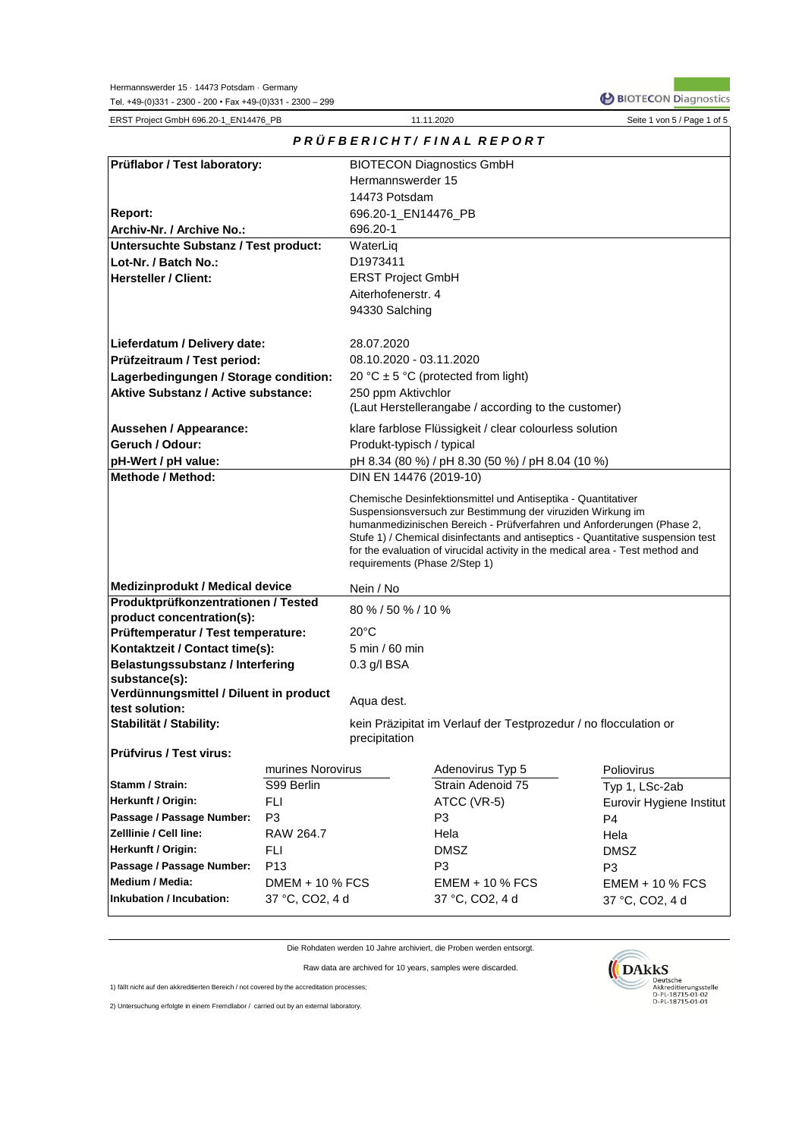BIOTECON Diagnostics

| ERST Project GmbH 696.20-1_EN14476_PB                            |                   |                               | 11.11.2020                                                                                                                                   | Seite 1 von 5 / Page 1 of 5                                                                                                                                |  |  |  |  |  |  |
|------------------------------------------------------------------|-------------------|-------------------------------|----------------------------------------------------------------------------------------------------------------------------------------------|------------------------------------------------------------------------------------------------------------------------------------------------------------|--|--|--|--|--|--|
|                                                                  |                   |                               | PRÜFBERICHT/FINAL REPORT                                                                                                                     |                                                                                                                                                            |  |  |  |  |  |  |
| Prüflabor / Test laboratory:                                     |                   |                               | <b>BIOTECON Diagnostics GmbH</b>                                                                                                             |                                                                                                                                                            |  |  |  |  |  |  |
|                                                                  |                   | Hermannswerder 15             |                                                                                                                                              |                                                                                                                                                            |  |  |  |  |  |  |
|                                                                  |                   | 14473 Potsdam                 |                                                                                                                                              |                                                                                                                                                            |  |  |  |  |  |  |
| Report:                                                          |                   | 696.20-1_EN14476_PB           |                                                                                                                                              |                                                                                                                                                            |  |  |  |  |  |  |
| Archiv-Nr. / Archive No.:                                        |                   | 696.20-1                      |                                                                                                                                              |                                                                                                                                                            |  |  |  |  |  |  |
| <b>Untersuchte Substanz / Test product:</b>                      |                   | WaterLig                      |                                                                                                                                              |                                                                                                                                                            |  |  |  |  |  |  |
| Lot-Nr. / Batch No.:                                             |                   | D1973411                      |                                                                                                                                              |                                                                                                                                                            |  |  |  |  |  |  |
| <b>Hersteller / Client:</b>                                      |                   | <b>ERST Project GmbH</b>      |                                                                                                                                              |                                                                                                                                                            |  |  |  |  |  |  |
|                                                                  |                   | Aiterhofenerstr. 4            |                                                                                                                                              |                                                                                                                                                            |  |  |  |  |  |  |
|                                                                  |                   | 94330 Salching                |                                                                                                                                              |                                                                                                                                                            |  |  |  |  |  |  |
| Lieferdatum / Delivery date:                                     |                   | 28.07.2020                    |                                                                                                                                              |                                                                                                                                                            |  |  |  |  |  |  |
| Prüfzeitraum / Test period:                                      |                   | 08.10.2020 - 03.11.2020       |                                                                                                                                              |                                                                                                                                                            |  |  |  |  |  |  |
| Lagerbedingungen / Storage condition:                            |                   |                               | 20 °C $\pm$ 5 °C (protected from light)                                                                                                      |                                                                                                                                                            |  |  |  |  |  |  |
| <b>Aktive Substanz / Active substance:</b>                       |                   | 250 ppm Aktivchlor            |                                                                                                                                              |                                                                                                                                                            |  |  |  |  |  |  |
|                                                                  |                   |                               | (Laut Herstellerangabe / according to the customer)                                                                                          |                                                                                                                                                            |  |  |  |  |  |  |
| Aussehen / Appearance:                                           |                   |                               | klare farblose Flüssigkeit / clear colourless solution                                                                                       |                                                                                                                                                            |  |  |  |  |  |  |
| Geruch / Odour:                                                  |                   | Produkt-typisch / typical     |                                                                                                                                              |                                                                                                                                                            |  |  |  |  |  |  |
| pH-Wert / pH value:                                              |                   |                               | pH 8.34 (80 %) / pH 8.30 (50 %) / pH 8.04 (10 %)                                                                                             |                                                                                                                                                            |  |  |  |  |  |  |
| <b>Methode / Method:</b>                                         |                   | DIN EN 14476 (2019-10)        |                                                                                                                                              |                                                                                                                                                            |  |  |  |  |  |  |
|                                                                  |                   | requirements (Phase 2/Step 1) | Suspensionsversuch zur Bestimmung der viruziden Wirkung im<br>for the evaluation of virucidal activity in the medical area - Test method and | humanmedizinischen Bereich - Prüfverfahren und Anforderungen (Phase 2,<br>Stufe 1) / Chemical disinfectants and antiseptics - Quantitative suspension test |  |  |  |  |  |  |
| <b>Medizinprodukt / Medical device</b>                           |                   | Nein / No                     |                                                                                                                                              |                                                                                                                                                            |  |  |  |  |  |  |
| Produktprüfkonzentrationen / Tested<br>product concentration(s): |                   | 80 % / 50 % / 10 %            |                                                                                                                                              |                                                                                                                                                            |  |  |  |  |  |  |
| Prüftemperatur / Test temperature:                               |                   | 20°C                          |                                                                                                                                              |                                                                                                                                                            |  |  |  |  |  |  |
| Kontaktzeit / Contact time(s):                                   |                   | 5 min / 60 min                |                                                                                                                                              |                                                                                                                                                            |  |  |  |  |  |  |
| <b>Belastungssubstanz / Interfering</b>                          |                   | 0.3 g/l BSA                   |                                                                                                                                              |                                                                                                                                                            |  |  |  |  |  |  |
| substance(s):                                                    |                   |                               |                                                                                                                                              |                                                                                                                                                            |  |  |  |  |  |  |
| Verdünnungsmittel / Diluent in product                           |                   | Aqua dest.                    |                                                                                                                                              |                                                                                                                                                            |  |  |  |  |  |  |
| test solution:                                                   |                   |                               |                                                                                                                                              |                                                                                                                                                            |  |  |  |  |  |  |
| Stabilität / Stability:                                          |                   | precipitation                 | kein Präzipitat im Verlauf der Testprozedur / no flocculation or                                                                             |                                                                                                                                                            |  |  |  |  |  |  |
| <b>Prüfvirus / Test virus:</b>                                   |                   |                               |                                                                                                                                              |                                                                                                                                                            |  |  |  |  |  |  |
|                                                                  | murines Norovirus |                               | Adenovirus Typ 5                                                                                                                             | Poliovirus                                                                                                                                                 |  |  |  |  |  |  |
| Stamm / Strain:                                                  | S99 Berlin        |                               | Strain Adenoid 75                                                                                                                            | Typ 1, LSc-2ab                                                                                                                                             |  |  |  |  |  |  |
| Herkunft / Origin:                                               | FLI               |                               | ATCC (VR-5)                                                                                                                                  | Eurovir Hygiene Institut                                                                                                                                   |  |  |  |  |  |  |
| Passage / Passage Number:                                        | P <sub>3</sub>    |                               | P <sub>3</sub>                                                                                                                               | P <sub>4</sub>                                                                                                                                             |  |  |  |  |  |  |
| Zelllinie / Cell line:                                           | RAW 264.7         |                               | Hela                                                                                                                                         | Hela                                                                                                                                                       |  |  |  |  |  |  |
| Herkunft / Origin:                                               | FLI               |                               | <b>DMSZ</b>                                                                                                                                  | <b>DMSZ</b>                                                                                                                                                |  |  |  |  |  |  |
| Passage / Passage Number:                                        | P <sub>13</sub>   |                               | P <sub>3</sub>                                                                                                                               | P <sub>3</sub>                                                                                                                                             |  |  |  |  |  |  |
| Medium / Media:                                                  | DMEM + 10 % FCS   |                               | $EMEM + 10 % FCS$<br>37 °C, CO2, 4 d                                                                                                         | $EMEM + 10 % FCS$                                                                                                                                          |  |  |  |  |  |  |
| Inkubation / Incubation:                                         | 37 °C, CO2, 4 d   |                               | 37 °C, CO2, 4 d                                                                                                                              |                                                                                                                                                            |  |  |  |  |  |  |

Die Rohdaten werden 10 Jahre archiviert, die Proben werden entsorgt.

Raw data are archived for 10 years, samples were discarded.

1) fällt nicht auf den akkreditierten Bereich / not covered by the accreditation processes;

2) Untersuchung erfolgte in einem Fremdlabor / carried out by an external laboratory.

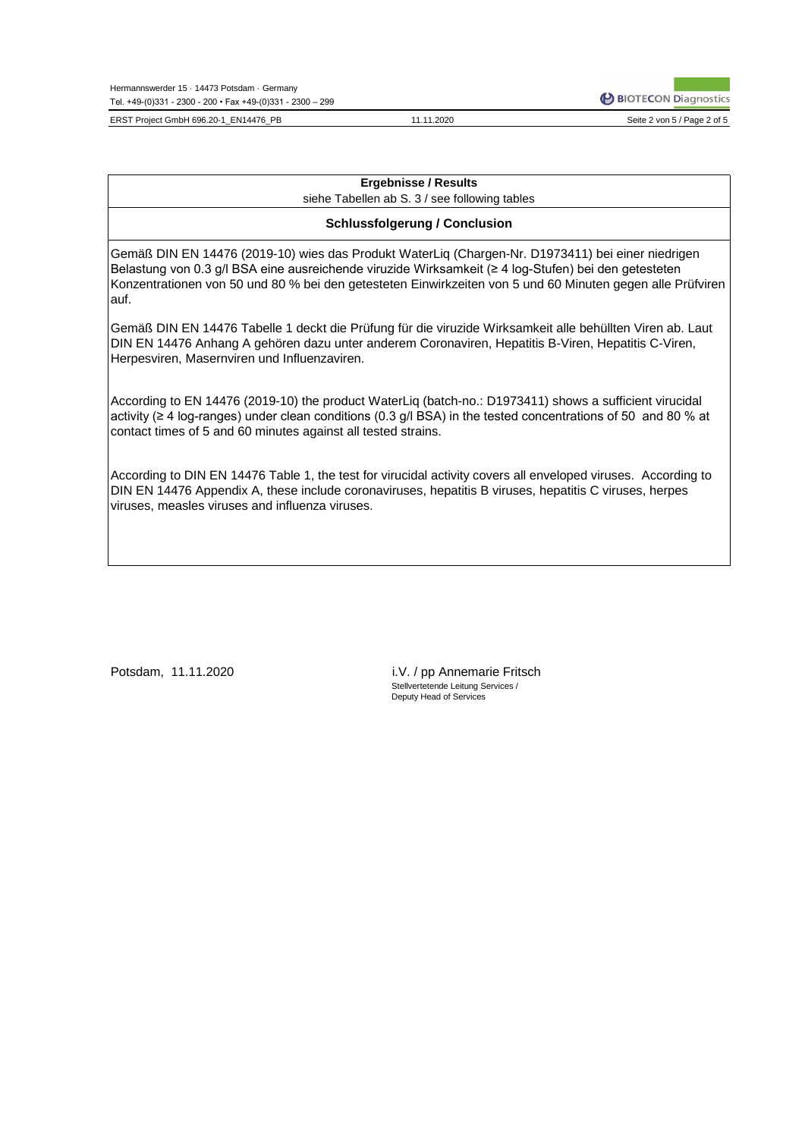Hermannswerder 15 · 14473 Potsdam · Germany Tel. +49-(0)331 - 2300 - 200 • Fax +49-(0)331 - 2300 – 299

ERST Project GmbH 696.20-1\_EN14476\_PB 3.20 Seite 2 von 5 / Page 2 of 5

11.11.2020

**P BIOTECON Diagnostics** 

## **Ergebnisse / Results**

siehe Tabellen ab S. 3 / see following tables

### **Schlussfolgerung / Conclusion**

Gemäß DIN EN 14476 (2019-10) wies das Produkt WaterLiq (Chargen-Nr. D1973411) bei einer niedrigen Belastung von 0.3 g/l BSA eine ausreichende viruzide Wirksamkeit (≥ 4 log-Stufen) bei den getesteten Konzentrationen von 50 und 80 % bei den getesteten Einwirkzeiten von 5 und 60 Minuten gegen alle Prüfviren auf.

Gemäß DIN EN 14476 Tabelle 1 deckt die Prüfung für die viruzide Wirksamkeit alle behüllten Viren ab. Laut DIN EN 14476 Anhang A gehören dazu unter anderem Coronaviren, Hepatitis B-Viren, Hepatitis C-Viren, Herpesviren, Masernviren und Influenzaviren.

According to EN 14476 (2019-10) the product WaterLiq (batch-no.: D1973411) shows a sufficient virucidal activity (≥ 4 log-ranges) under clean conditions (0.3 g/l BSA) in the tested concentrations of 50 and 80 % at contact times of 5 and 60 minutes against all tested strains.

According to DIN EN 14476 Table 1, the test for virucidal activity covers all enveloped viruses. According to DIN EN 14476 Appendix A, these include coronaviruses, hepatitis B viruses, hepatitis C viruses, herpes viruses, measles viruses and influenza viruses.

Potsdam, 11.11.2020

Stellvertetende Leitung Services / Deputy Head of Services i.V. / pp Annemarie Fritsch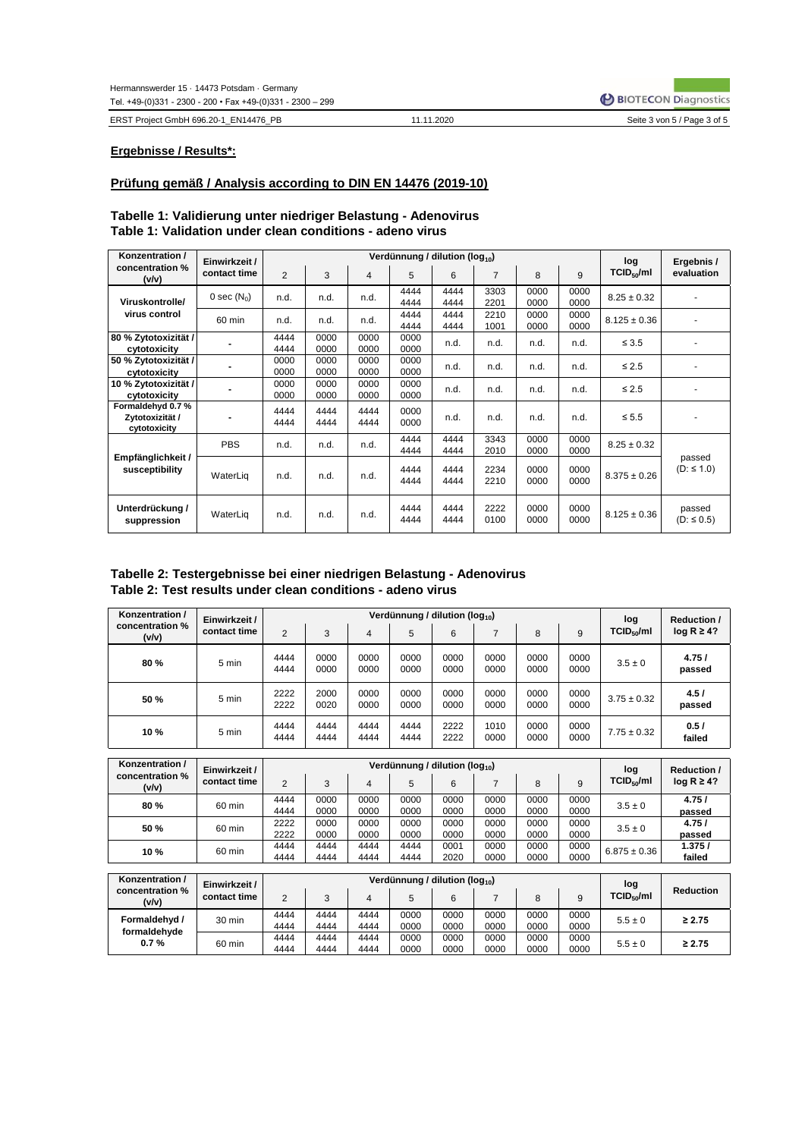ERST Project GmbH 696.20-1\_EN14476\_PB

11.11.2020

### **Ergebnisse / Results\*:**

### **Prüfung gemäß / Analysis according to DIN EN 14476 (2019-10)**

| Konzentration /                                     | Einwirkzeit / |              |              |              | Verdünnung / dilution (log <sub>10</sub> ) |              |                |              |              | log              | Ergebnis /                |
|-----------------------------------------------------|---------------|--------------|--------------|--------------|--------------------------------------------|--------------|----------------|--------------|--------------|------------------|---------------------------|
| concentration %<br>(v/v)                            | contact time  | 2            | 3            | 4            | 5                                          | 6            | $\overline{7}$ | 8            | 9            | $TCID_{50}/ml$   | evaluation                |
| Viruskontrolle/                                     | 0 sec $(N_0)$ | n.d.         | n.d.         | n.d.         | 4444<br>4444                               | 4444<br>4444 | 3303<br>2201   | 0000<br>0000 | 0000<br>0000 | $8.25 \pm 0.32$  |                           |
| virus control                                       | 60 min        | n.d.         | n.d.         | n.d.         | 4444<br>4444                               | 4444<br>4444 | 2210<br>1001   | 0000<br>0000 | 0000<br>0000 | $8.125 \pm 0.36$ |                           |
| 80 % Zytotoxizität /<br>cytotoxicity                |               | 4444<br>4444 | 0000<br>0000 | 0000<br>0000 | 0000<br>0000                               | n.d.         | n.d.           | n.d.         | n.d.         | $\leq 3.5$       |                           |
| 50 % Zytotoxizität /<br>cytotoxicity                |               | 0000<br>0000 | 0000<br>0000 | 0000<br>0000 | 0000<br>0000                               | n.d.         | n.d.           | n.d.         | n.d.         | $\leq 2.5$       |                           |
| 10 % Zytotoxizität /<br>cytotoxicity                |               | 0000<br>0000 | 0000<br>0000 | 0000<br>0000 | 0000<br>0000                               | n.d.         | n.d.           | n.d.         | n.d.         | $\leq 2.5$       |                           |
| Formaldehyd 0.7%<br>Zytotoxizität /<br>cytotoxicity |               | 4444<br>4444 | 4444<br>4444 | 4444<br>4444 | 0000<br>0000                               | n.d.         | n.d.           | n.d.         | n.d.         | $\leq 5.5$       |                           |
|                                                     | <b>PBS</b>    | n.d.         | n.d.         | n.d.         | 4444<br>4444                               | 4444<br>4444 | 3343<br>2010   | 0000<br>0000 | 0000<br>0000 | $8.25 \pm 0.32$  |                           |
| Empfänglichkeit /<br>susceptibility                 | WaterLig      | n.d.         | n.d.         | n.d.         | 4444<br>4444                               | 4444<br>4444 | 2234<br>2210   | 0000<br>0000 | 0000<br>0000 | $8.375 \pm 0.26$ | passed<br>$(D: \leq 1.0)$ |
| Unterdrückung /<br>suppression                      | WaterLig      | n.d.         | n.d.         | n.d.         | 4444<br>4444                               | 4444<br>4444 | 2222<br>0100   | 0000<br>0000 | 0000<br>0000 | $8.125 \pm 0.36$ | passed<br>$(D: \le 0.5)$  |

# **Tabelle 1: Validierung unter niedriger Belastung - Adenovirus Table 1: Validation under clean conditions - adeno virus**

# **Tabelle 2: Testergebnisse bei einer niedrigen Belastung - Adenovirus Table 2: Test results under clean conditions - adeno virus**

| Konzentration /          | Einwirkzeit / |                |              |              | Verdünnung / dilution (log <sub>10</sub> ) |              |              |              |              | log                    | <b>Reduction /</b> |
|--------------------------|---------------|----------------|--------------|--------------|--------------------------------------------|--------------|--------------|--------------|--------------|------------------------|--------------------|
| concentration %<br>(v/v) | contact time  | $\overline{2}$ | 3            | 4            | 5                                          | 6            |              | 8            | 9            | TCID <sub>50</sub> /ml | $log R \ge 4?$     |
| 80%                      | 5 min         | 4444<br>4444   | 0000<br>0000 | 0000<br>0000 | 0000<br>0000                               | 0000<br>0000 | 0000<br>0000 | 0000<br>0000 | 0000<br>0000 | $3.5 \pm 0$            | 4.75/<br>passed    |
| 50%                      | 5 min         | 2222<br>2222   | 2000<br>0020 | 0000<br>0000 | 0000<br>0000                               | 0000<br>0000 | 0000<br>0000 | 0000<br>0000 | 0000<br>0000 | $3.75 \pm 0.32$        | 4.5/<br>passed     |
| 10%                      | 5 min         | 4444<br>4444   | 4444<br>4444 | 4444<br>4444 | 4444<br>4444                               | 2222<br>2222 | 1010<br>0000 | 0000<br>0000 | 0000<br>0000 | $7.75 \pm 0.32$        | 0.5/<br>failed     |

| Konzentration /          | Einwirkzeit / |      |      |      | Verdünnung / dilution (log <sub>10</sub> ) |      |      |      |      | log                    | <b>Reduction /</b> |
|--------------------------|---------------|------|------|------|--------------------------------------------|------|------|------|------|------------------------|--------------------|
| concentration %<br>(v/v) | contact time  | ◠    |      | 4    | 5                                          | 6    |      | 8    | 9    | TCID <sub>50</sub> /ml | $log R \ge 4?$     |
| 80%                      | 60 min        | 4444 | 0000 | 0000 | 0000                                       | 0000 | 0000 | 0000 | 0000 | $3.5 \pm 0$            | 4.75/              |
|                          |               | 4444 | 0000 | 0000 | 0000                                       | 0000 | 0000 | 0000 | 0000 |                        | passed             |
| 50 %                     | 60 min        | 2222 | 0000 | 0000 | 0000                                       | 0000 | 0000 | 0000 | 0000 | $3.5 \pm 0$            | 4.75/              |
|                          |               | 2222 | 0000 | 0000 | 0000                                       | 0000 | 0000 | 0000 | 0000 |                        | passed             |
|                          |               | 4444 | 4444 | 4444 | 4444                                       | 0001 | 0000 | 0000 | 0000 |                        | 1.375/             |
| 10%                      | 60 min        | 4444 | 4444 | 4444 | 4444                                       | 2020 | 0000 | 0000 | 0000 | $6.875 \pm 0.36$       | failed             |

| Konzentration /          | Einwirkzeit / |      |      |      | Verdünnung / dilution (log <sub>10</sub> ) |      |      |      |      | log                    |                  |
|--------------------------|---------------|------|------|------|--------------------------------------------|------|------|------|------|------------------------|------------------|
| concentration %<br>(v/v) | contact time  | ◠    |      |      | 5                                          | 6    |      | 8    | 9    | TCID <sub>50</sub> /ml | <b>Reduction</b> |
| Formaldehyd /            | 30 min        | 4444 | 4444 | 4444 | 0000                                       | 0000 | 0000 | 0000 | 0000 | $5.5 \pm 0$            | $\geq 2.75$      |
| formaldehyde             |               | 4444 | 4444 | 4444 | 0000                                       | 0000 | 0000 | 0000 | 0000 |                        |                  |
| 0.7%                     | 60 min        | 4444 | 4444 | 4444 | 0000                                       | 0000 | 0000 | 0000 | 0000 | $5.5 \pm 0$            | $\geq 2.75$      |
|                          |               | 4444 | 4444 | 4444 | 0000                                       | 0000 | 0000 | 0000 | 0000 |                        |                  |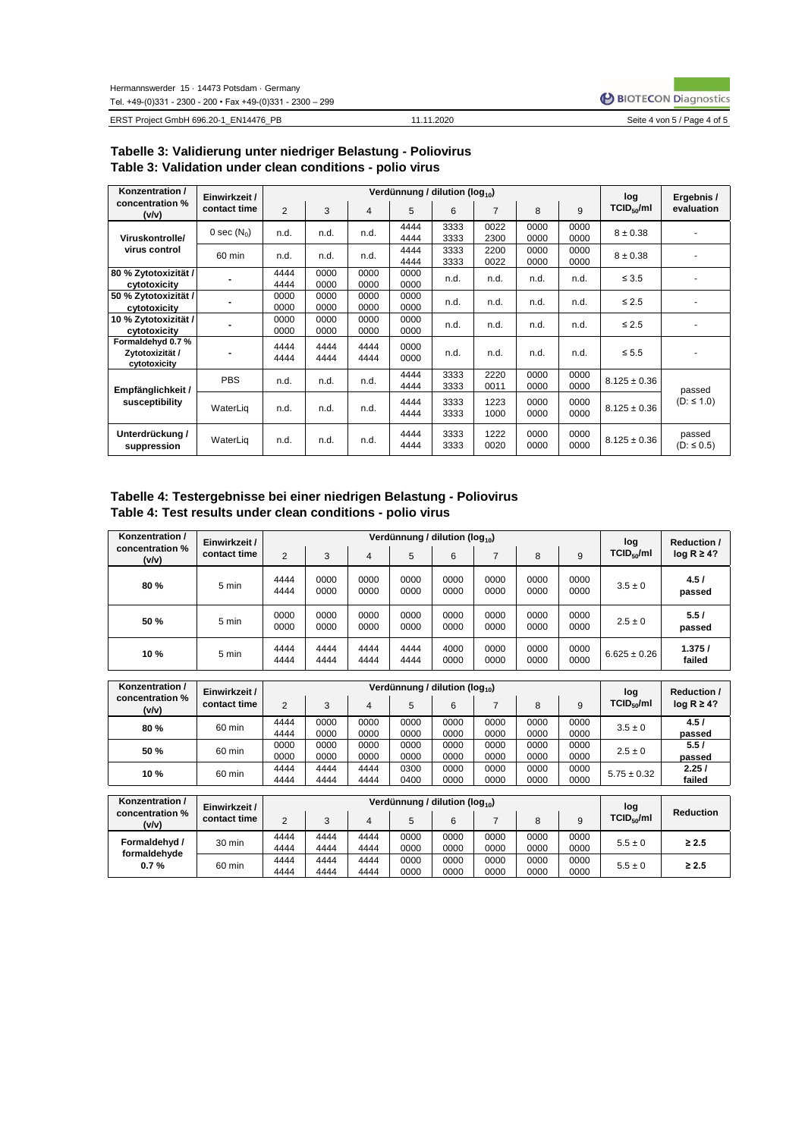BIOTECON Diagnostics

ERST Project GmbH 696.20-1\_EN14476\_PB 11.11.2020 Seite 4 von 5 / Page 4 of 5

#### 11.11.2020

| Selte 4 von 5 / Page 4 or 5 |  |
|-----------------------------|--|
|                             |  |

| Konzentration /                                     | Einwirkzeit / |                |              |                |              | Verdünnung / dilution (log <sub>10</sub> ) |                |              |              | log                    |                          |
|-----------------------------------------------------|---------------|----------------|--------------|----------------|--------------|--------------------------------------------|----------------|--------------|--------------|------------------------|--------------------------|
| concentration %<br>(v/v)                            | contact time  | $\overline{2}$ | 3            | $\overline{4}$ | 5            | 6                                          | $\overline{7}$ | 8            | 9            | TCID <sub>50</sub> /ml | Ergebnis /<br>evaluation |
| Viruskontrolle/                                     | 0 sec $(N_0)$ | n.d.           | n.d.         | n.d.           | 4444<br>4444 | 3333<br>3333                               | 0022<br>2300   | 0000<br>0000 | 0000<br>0000 | $8 + 0.38$             |                          |
| virus control                                       | 60 min        | n.d.           | n.d.         | n.d.           | 4444<br>4444 | 3333<br>3333                               | 2200<br>0022   | 0000<br>0000 | 0000<br>0000 | $8 + 0.38$             |                          |
| 80 % Zytotoxizität /<br>cytotoxicity                |               | 4444<br>4444   | 0000<br>0000 | 0000<br>0000   | 0000<br>0000 | n.d.                                       | n.d.           | n.d.         | n.d.         | $\leq 3.5$             |                          |
| 50 % Zytotoxizität /<br>cytotoxicity                |               | 0000<br>0000   | 0000<br>0000 | 0000<br>0000   | 0000<br>0000 | n.d.                                       | n.d.           | n.d.         | n.d.         | $\leq 2.5$             |                          |
| 10 % Zytotoxizität /<br>cytotoxicity                |               | 0000<br>0000   | 0000<br>0000 | 0000<br>0000   | 0000<br>0000 | n.d.                                       | n.d.           | n.d.         | n.d.         | $\leq 2.5$             |                          |
| Formaldehyd 0.7%<br>Zytotoxizität /<br>cytotoxicity |               | 4444<br>4444   | 4444<br>4444 | 4444<br>4444   | 0000<br>0000 | n.d.                                       | n.d.           | n.d.         | n.d.         | $\leq 5.5$             |                          |
| Empfänglichkeit /                                   | <b>PBS</b>    | n.d.           | n.d.         | n.d.           | 4444<br>4444 | 3333<br>3333                               | 2220<br>0011   | 0000<br>0000 | 0000<br>0000 | $8.125 \pm 0.36$       | passed                   |
| susceptibility                                      | WaterLig      | n.d.           | n.d.         | n.d.           | 4444<br>4444 | 3333<br>3333                               | 1223<br>1000   | 0000<br>0000 | 0000<br>0000 | $8.125 \pm 0.36$       | $(D: \leq 1.0)$          |
| Unterdrückung /<br>suppression                      | WaterLig      | n.d.           | n.d.         | n.d.           | 4444<br>4444 | 3333<br>3333                               | 1222<br>0020   | 0000<br>0000 | 0000<br>0000 | $8.125 \pm 0.36$       | passed<br>$(D: \le 0.5)$ |

## **Tabelle 3: Validierung unter niedriger Belastung - Poliovirus Table 3: Validation under clean conditions - polio virus**

# **Tabelle 4: Testergebnisse bei einer niedrigen Belastung - Poliovirus Table 4: Test results under clean conditions - polio virus**

| Konzentration /               | Einwirkzeit /                 |                |              |                         | Verdünnung / dilution (log <sub>10</sub> ) |              |                |              |              | log                           | <b>Reduction /</b> |
|-------------------------------|-------------------------------|----------------|--------------|-------------------------|--------------------------------------------|--------------|----------------|--------------|--------------|-------------------------------|--------------------|
| concentration %<br>(v/v)      | contact time                  | $\overline{2}$ | 3            | $\overline{\mathbf{4}}$ | 5                                          | 6            | $\overline{7}$ | 8            | 9            | TCID <sub>50</sub> /ml        | $log R \ge 4?$     |
| 80%                           | 5 min                         | 4444<br>4444   | 0000<br>0000 | 0000<br>0000            | 0000<br>0000                               | 0000<br>0000 | 0000<br>0000   | 0000<br>0000 | 0000<br>0000 | $3.5 \pm 0$                   | 4.5/<br>passed     |
| 50%                           | 5 min                         | 0000<br>0000   | 0000<br>0000 | 0000<br>0000            | 0000<br>0000                               | 0000<br>0000 | 0000<br>0000   | 0000<br>0000 | 0000<br>0000 | $2.5 \pm 0$                   | 5.5/<br>passed     |
| 10%                           | 5 min                         | 4444<br>4444   | 4444<br>4444 | 4444<br>4444            | 4444<br>4444                               | 4000<br>0000 | 0000<br>0000   | 0000<br>0000 | 0000<br>0000 | $6.625 \pm 0.26$              | 1.375/<br>failed   |
| Konzentration /               |                               |                |              |                         | Verdünnung / dilution (log <sub>10</sub> ) |              |                |              |              |                               |                    |
| concentration %               | Einwirkzeit /                 |                |              |                         |                                            |              |                |              |              | log                           | <b>Reduction /</b> |
| (v/v)                         | contact time                  | 2              | 3            | $\overline{\mathbf{4}}$ | 5                                          | 6            | $\overline{7}$ | 8            | 9            | TCID <sub>50</sub> /ml        | $log R \ge 4?$     |
| 80%                           | 60 min                        | 4444           | 0000         | 0000                    | 0000                                       | 0000         | 0000           | 0000         | 0000         | $3.5 \pm 0$                   | 4.5/               |
|                               |                               | 4444           | 0000         | 0000                    | 0000                                       | 0000         | 0000           | 0000         | 0000         |                               | passed             |
| 50%                           | 60 min                        | 0000           | 0000         | 0000                    | 0000                                       | 0000         | 0000           | 0000         | 0000         | $2.5 \pm 0$                   | 5.5/               |
|                               |                               | 0000           | 0000         | 0000                    | 0000                                       | 0000         | 0000           | 0000         | 0000         |                               | passed             |
| 10%                           | 60 min                        | 4444           | 4444         | 4444                    | 0300                                       | 0000         | 0000           | 0000         | 0000         | $5.75 \pm 0.32$               | 2.25/              |
|                               |                               | 4444           | 4444         | 4444                    | 0400                                       | 0000         | 0000           | 0000         | 0000         |                               | failed             |
| Konzentration /               |                               |                |              |                         | Verdünnung / dilution (log <sub>10</sub> ) |              |                |              |              |                               |                    |
| concentration %<br>(v/v)      | Einwirkzeit /<br>contact time | $\overline{2}$ | 3            | 4                       | 5                                          | 6            | $\overline{7}$ | 8            | 9            | log<br>TCID <sub>50</sub> /ml | <b>Reduction</b>   |
| Formaldehyd /<br>formaldehyde | $30$ min                      | 4444<br>4444   | 4444<br>4444 | 4444<br>4444            | 0000<br>0000                               | 0000<br>0000 | 0000<br>0000   | 0000<br>0000 | 0000<br>0000 | $5.5 \pm 0$                   | $\geq 2.5$         |
| 0.7%                          | 60 min                        | 4444<br>4444   | 4444<br>4444 | 4444<br>4444            | 0000<br>0000                               | 0000<br>0000 | 0000<br>0000   | 0000<br>0000 | 0000<br>0000 | $5.5 \pm 0$                   | $\geq 2.5$         |